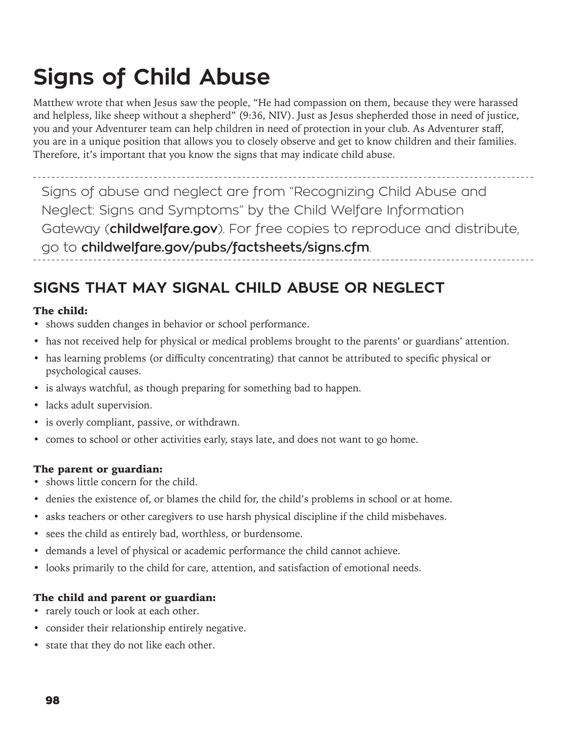# **Signs of Child Abuse**

Matthew wrote that when Jesus saw the people, "He had compassion on them, because they were harassed and helpless, like sheep without a shepherd" (9:36, NIV). Just as Jesus shepherded those in need of justice, you and your Adventurer team can help children in need of protection in your club. As Adventurer staff, you are in a unique position that allows you to closely observe and get to know children and their families. Therefore, it's important that you know the signs that may indicate child abuse.

Signs of abuse and neglect are from "Recognizing Child Abuse and Neglect: Signs and Symptoms" by the Child Welfare Information Gateway (**childwelfare.gov**). For free copies to reproduce and distribute, go to **childwelfare.gov/pubs/factsheets/signs.cfm**.

## **SIGNS THAT MAY SIGNAL CHILD ABUSE OR NEGLECT**

#### The child:

- shows sudden changes in behavior or school performance.
- has not received help for physical or medical problems brought to the parents' or guardians' attention.
- has learning problems (or difficulty concentrating) that cannot be attributed to specific physical or psychological causes.
- is always watchful, as though preparing for something bad to happen.
- lacks adult supervision.
- is overly compliant, passive, or withdrawn.
- comes to school or other activities early, stays late, and does not want to go home.

#### The parent or guardian:

- shows little concern for the child.
- denies the existence of, or blames the child for, the child's problems in school or at home.
- asks teachers or other caregivers to use harsh physical discipline if the child misbehaves.
- sees the child as entirely bad, worthless, or burdensome.
- demands a level of physical or academic performance the child cannot achieve.
- looks primarily to the child for care, attention, and satisfaction of emotional needs.

#### The child and parent or guardian:

- rarely touch or look at each other.
- consider their relationship entirely negative.
- state that they do not like each other.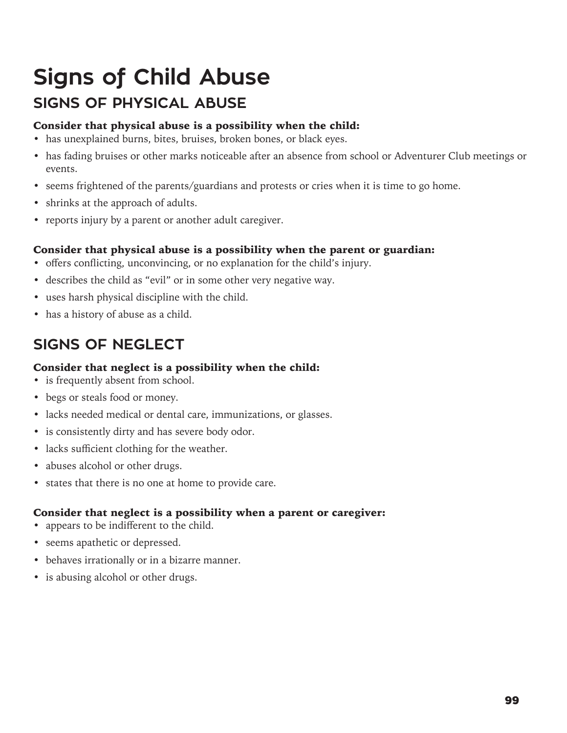## **Signs of Child Abuse SIGNS OF PHYSICAL ABUSE**

#### Consider that physical abuse is a possibility when the child:

- has unexplained burns, bites, bruises, broken bones, or black eyes.
- has fading bruises or other marks noticeable after an absence from school or Adventurer Club meetings or events.
- seems frightened of the parents/guardians and protests or cries when it is time to go home.
- shrinks at the approach of adults.
- reports injury by a parent or another adult caregiver.

#### Consider that physical abuse is a possibility when the parent or guardian:

- offers conflicting, unconvincing, or no explanation for the child's injury.
- describes the child as "evil" or in some other very negative way.
- uses harsh physical discipline with the child.
- has a history of abuse as a child.

## **SIGNS OF NEGLECT**

#### Consider that neglect is a possibility when the child:

- is frequently absent from school.
- begs or steals food or money.
- lacks needed medical or dental care, immunizations, or glasses.
- is consistently dirty and has severe body odor.
- lacks sufficient clothing for the weather.
- abuses alcohol or other drugs.
- states that there is no one at home to provide care.

#### Consider that neglect is a possibility when a parent or caregiver:

- appears to be indifferent to the child.
- seems apathetic or depressed.
- behaves irrationally or in a bizarre manner.
- is abusing alcohol or other drugs.